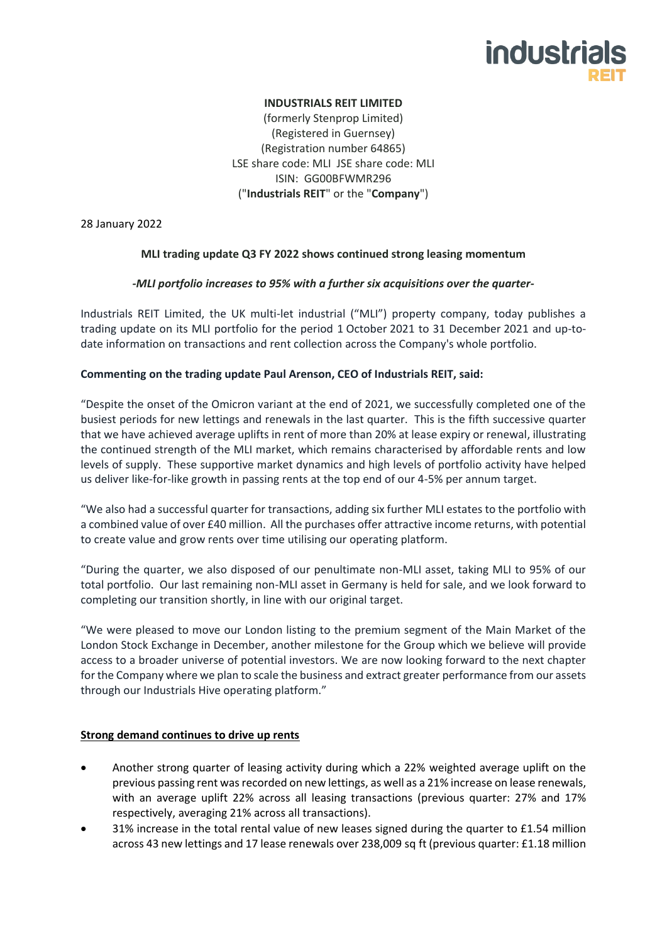# industria

## **INDUSTRIALS REIT LIMITED**

(formerly Stenprop Limited) (Registered in Guernsey) (Registration number 64865) LSE share code: MLI JSE share code: MLI ISIN: GG00BFWMR296 ("**Industrials REIT**" or the "**Company**")

28 January 2022

## **MLI trading update Q3 FY 2022 shows continued strong leasing momentum**

## *-MLI portfolio increases to 95% with a further six acquisitions over the quarter-*

Industrials REIT Limited, the UK multi-let industrial ("MLI") property company, today publishes a trading update on its MLI portfolio for the period 1 October 2021 to 31 December 2021 and up-todate information on transactions and rent collection across the Company's whole portfolio.

## **Commenting on the trading update Paul Arenson, CEO of Industrials REIT, said:**

"Despite the onset of the Omicron variant at the end of 2021, we successfully completed one of the busiest periods for new lettings and renewals in the last quarter. This is the fifth successive quarter that we have achieved average uplifts in rent of more than 20% at lease expiry or renewal, illustrating the continued strength of the MLI market, which remains characterised by affordable rents and low levels of supply. These supportive market dynamics and high levels of portfolio activity have helped us deliver like-for-like growth in passing rents at the top end of our 4-5% per annum target.

"We also had a successful quarter for transactions, adding six further MLI estates to the portfolio with a combined value of over £40 million. All the purchases offer attractive income returns, with potential to create value and grow rents over time utilising our operating platform.

"During the quarter, we also disposed of our penultimate non-MLI asset, taking MLI to 95% of our total portfolio. Our last remaining non-MLI asset in Germany is held for sale, and we look forward to completing our transition shortly, in line with our original target.

"We were pleased to move our London listing to the premium segment of the Main Market of the London Stock Exchange in December, another milestone for the Group which we believe will provide access to a broader universe of potential investors. We are now looking forward to the next chapter for the Company where we plan to scale the business and extract greater performance from our assets through our Industrials Hive operating platform."

## **Strong demand continues to drive up rents**

- Another strong quarter of leasing activity during which a 22% weighted average uplift on the previous passing rent was recorded on new lettings, as well as a 21% increase on lease renewals, with an average uplift 22% across all leasing transactions (previous quarter: 27% and 17% respectively, averaging 21% across all transactions).
- 31% increase in the total rental value of new leases signed during the quarter to £1.54 million across 43 new lettings and 17 lease renewals over 238,009 sq ft (previous quarter: £1.18 million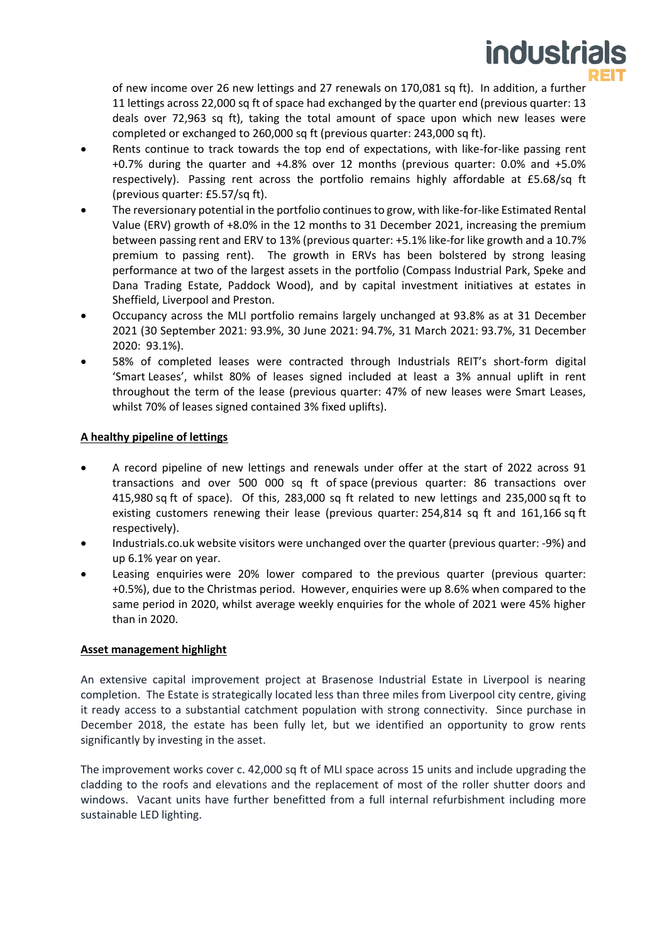

of new income over 26 new lettings and 27 renewals on 170,081 sq ft). In addition, a further 11 lettings across 22,000 sq ft of space had exchanged by the quarter end (previous quarter: 13 deals over 72,963 sq ft), taking the total amount of space upon which new leases were completed or exchanged to 260,000 sq ft (previous quarter: 243,000 sq ft).

- Rents continue to track towards the top end of expectations, with like-for-like passing rent +0.7% during the quarter and +4.8% over 12 months (previous quarter: 0.0% and +5.0% respectively). Passing rent across the portfolio remains highly affordable at £5.68/sq ft (previous quarter: £5.57/sq ft).
- The reversionary potential in the portfolio continues to grow, with like-for-like Estimated Rental Value (ERV) growth of +8.0% in the 12 months to 31 December 2021, increasing the premium between passing rent and ERV to 13% (previous quarter: +5.1% like-for like growth and a 10.7% premium to passing rent). The growth in ERVs has been bolstered by strong leasing performance at two of the largest assets in the portfolio (Compass Industrial Park, Speke and Dana Trading Estate, Paddock Wood), and by capital investment initiatives at estates in Sheffield, Liverpool and Preston.
- Occupancy across the MLI portfolio remains largely unchanged at 93.8% as at 31 December 2021 (30 September 2021: 93.9%, 30 June 2021: 94.7%, 31 March 2021: 93.7%, 31 December 2020: 93.1%).
- 58% of completed leases were contracted through Industrials REIT's short-form digital 'Smart Leases', whilst 80% of leases signed included at least a 3% annual uplift in rent throughout the term of the lease (previous quarter: 47% of new leases were Smart Leases, whilst 70% of leases signed contained 3% fixed uplifts).

## **A healthy pipeline of lettings**

- A record pipeline of new lettings and renewals under offer at the start of 2022 across 91 transactions and over 500 000 sq ft of space (previous quarter: 86 transactions over 415,980 sq ft of space). Of this, 283,000 sq ft related to new lettings and 235,000 sq ft to existing customers renewing their lease (previous quarter: 254,814 sq ft and 161,166 sq ft respectively).
- Industrials.co.uk website visitors were unchanged over the quarter (previous quarter: -9%) and up 6.1% year on year.
- Leasing enquiries were 20% lower compared to the previous quarter (previous quarter: +0.5%), due to the Christmas period. However, enquiries were up 8.6% when compared to the same period in 2020, whilst average weekly enquiries for the whole of 2021 were 45% higher than in 2020.

## **Asset management highlight**

An extensive capital improvement project at Brasenose Industrial Estate in Liverpool is nearing completion. The Estate is strategically located less than three miles from Liverpool city centre, giving it ready access to a substantial catchment population with strong connectivity. Since purchase in December 2018, the estate has been fully let, but we identified an opportunity to grow rents significantly by investing in the asset.

The improvement works cover c. 42,000 sq ft of MLI space across 15 units and include upgrading the cladding to the roofs and elevations and the replacement of most of the roller shutter doors and windows. Vacant units have further benefitted from a full internal refurbishment including more sustainable LED lighting.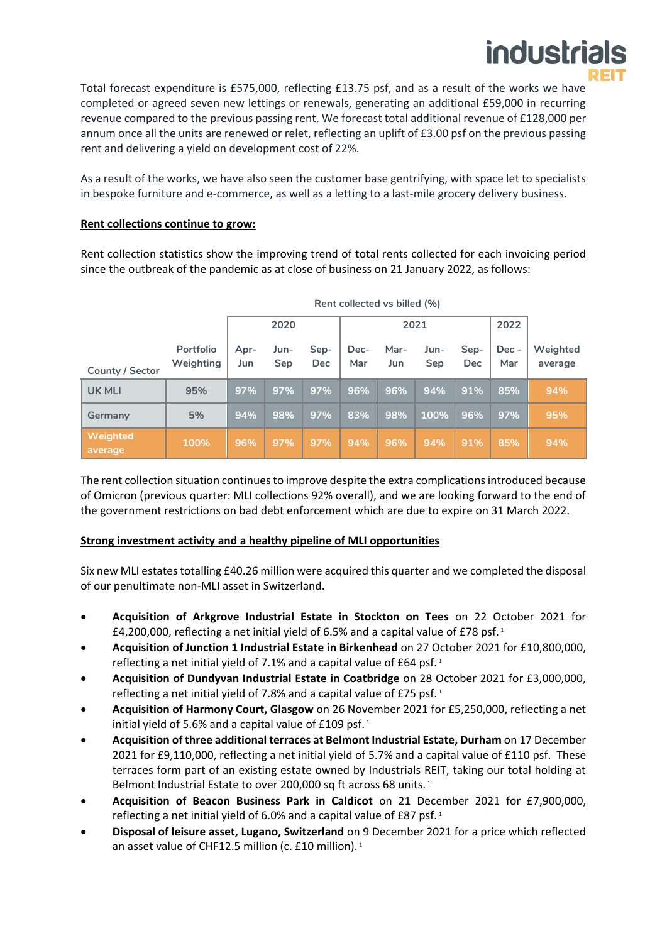

Total forecast expenditure is £575,000, reflecting £13.75 psf, and as a result of the works we have completed or agreed seven new lettings or renewals, generating an additional £59,000 in recurring revenue compared to the previous passing rent. We forecast total additional revenue of £128,000 per annum once all the units are renewed or relet, reflecting an uplift of £3.00 psf on the previous passing rent and delivering a yield on development cost of 22%.

As a result of the works, we have also seen the customer base gentrifying, with space let to specialists in bespoke furniture and e-commerce, as well as a letting to a last-mile grocery delivery business.

## **Rent collections continue to grow:**

Rent collection statistics show the improving trend of total rents collected for each invoicing period since the outbreak of the pandemic as at close of business on 21 January 2022, as follows:

|                     | Rent collected vs billed (%) |             |             |                    |             |             |             |                    |              |                     |
|---------------------|------------------------------|-------------|-------------|--------------------|-------------|-------------|-------------|--------------------|--------------|---------------------|
|                     |                              | 2020        |             |                    | 2021        |             |             |                    | 2022         |                     |
| County / Sector     | Portfolio<br>Weighting       | Apr-<br>Jun | Jun-<br>Sep | Sep-<br><b>Dec</b> | Dec-<br>Mar | Mar-<br>Jun | Jun-<br>Sep | Sep-<br><b>Dec</b> | Dec -<br>Mar | Weighted<br>average |
| <b>UK MLI</b>       | 95%                          | 97%         | 97%         | 97%                | 96%         | 96%         | 94%         | 91%                | 85%          | 94%                 |
| Germany             | 5%                           | 94%         | 98%         | 97%                | 83%         | 98%         | 100%        | 96%                | 97%          | 95%                 |
| Weighted<br>average | 100%                         | 96%         | 97%         | 97%                | 94%         | 96%         | 94%         | 91%                | 85%          | 94%                 |

The rent collection situation continues to improve despite the extra complications introduced because of Omicron (previous quarter: MLI collections 92% overall), and we are looking forward to the end of the government restrictions on bad debt enforcement which are due to expire on 31 March 2022.

## **Strong investment activity and a healthy pipeline of MLI opportunities**

Six new MLI estates totalling £40.26 million were acquired this quarter and we completed the disposal of our penultimate non-MLI asset in Switzerland.

- **Acquisition of Arkgrove Industrial Estate in Stockton on Tees** on 22 October 2021 for £4,200,000, reflecting a net initial yield of 6.5% and a capital value of £78 psf. $1$
- **Acquisition of Junction 1 Industrial Estate in Birkenhead** on 27 October 2021 for £10,800,000, reflecting a net initial yield of 7.1% and a capital value of £64 psf.<sup>1</sup>
- **Acquisition of Dundyvan Industrial Estate in Coatbridge** on 28 October 2021 for £3,000,000, reflecting a net initial yield of 7.8% and a capital value of £75 psf.<sup>1</sup>
- **Acquisition of Harmony Court, Glasgow** on 26 November 2021 for £5,250,000, reflecting a net initial yield of 5.6% and a capital value of £109 psf. $1$
- **Acquisition of three additional terraces at Belmont Industrial Estate, Durham** on 17 December 2021 for £9,110,000, reflecting a net initial yield of 5.7% and a capital value of £110 psf. These terraces form part of an existing estate owned by Industrials REIT, taking our total holding at Belmont Industrial Estate to over 200,000 sq ft across 68 units.<sup>1</sup>
- **Acquisition of Beacon Business Park in Caldicot** on 21 December 2021 for £7,900,000, reflecting a net initial yield of 6.0% and a capital value of £87 psf.<sup>1</sup>
- **Disposal of leisure asset, Lugano, Switzerland** on 9 December 2021 for a price which reflected an asset value of CHF12.5 million (c. £10 million).<sup>1</sup>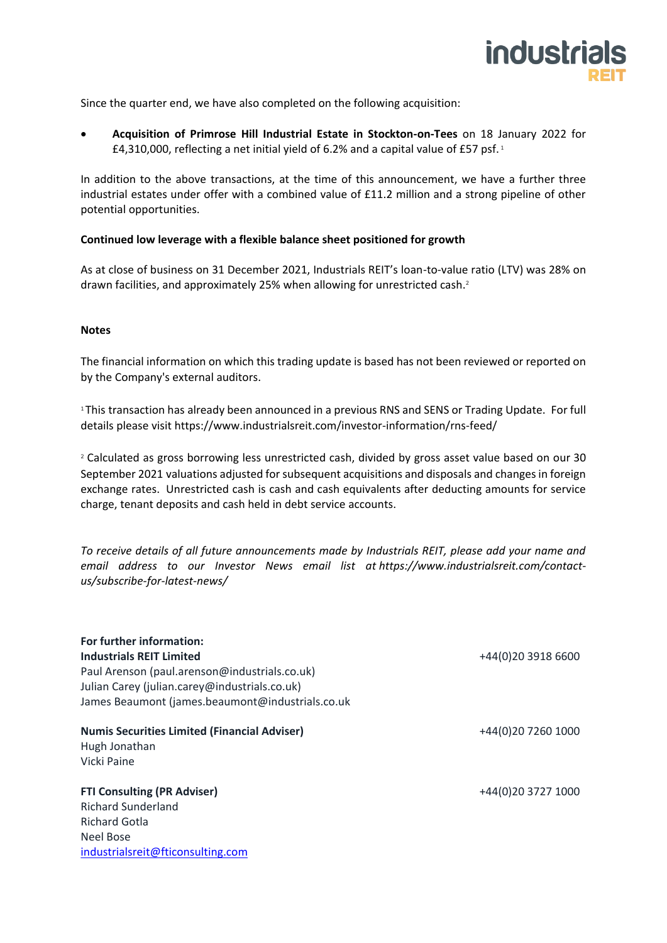

Since the quarter end, we have also completed on the following acquisition:

• **Acquisition of Primrose Hill Industrial Estate in Stockton-on-Tees** on 18 January 2022 for £4,310,000, reflecting a net initial yield of 6.2% and a capital value of £57 psf. $1$ 

In addition to the above transactions, at the time of this announcement, we have a further three industrial estates under offer with a combined value of £11.2 million and a strong pipeline of other potential opportunities.

#### **Continued low leverage with a flexible balance sheet positioned for growth**

As at close of business on 31 December 2021, Industrials REIT's loan-to-value ratio (LTV) was 28% on drawn facilities, and approximately 25% when allowing for unrestricted cash. 2

#### **Notes**

The financial information on which this trading update is based has not been reviewed or reported on by the Company's external auditors.

<sup>1</sup> This transaction has already been announced in a previous RNS and SENS or Trading Update. For full details please visit <https://www.industrialsreit.com/investor-information/rns-feed/>

<sup>2</sup> Calculated as gross borrowing less unrestricted cash, divided by gross asset value based on our 30 September 2021 valuations adjusted for subsequent acquisitions and disposals and changes in foreign exchange rates. Unrestricted cash is cash and cash equivalents after deducting amounts for service charge, tenant deposits and cash held in debt service accounts.

*To receive details of all future announcements made by Industrials REIT, please add your name and email address to our Investor News email list at [https://www.industrialsreit.com/contact](https://www.industrialsreit.com/contact-us/subscribe-for-latest-news/)[us/subscribe-for-latest-news/](https://www.industrialsreit.com/contact-us/subscribe-for-latest-news/)*

| For further information:                            |                    |  |  |  |
|-----------------------------------------------------|--------------------|--|--|--|
| <b>Industrials REIT Limited</b>                     | +44(0)20 3918 6600 |  |  |  |
| Paul Arenson (paul.arenson@industrials.co.uk)       |                    |  |  |  |
| Julian Carey (julian.carey@industrials.co.uk)       |                    |  |  |  |
| James Beaumont (james.beaumont@industrials.co.uk    |                    |  |  |  |
| <b>Numis Securities Limited (Financial Adviser)</b> | +44(0)20 7260 1000 |  |  |  |
| Hugh Jonathan                                       |                    |  |  |  |
| Vicki Paine                                         |                    |  |  |  |
| <b>FTI Consulting (PR Adviser)</b>                  | +44(0)20 3727 1000 |  |  |  |
| <b>Richard Sunderland</b>                           |                    |  |  |  |
| <b>Richard Gotla</b>                                |                    |  |  |  |
| Neel Bose                                           |                    |  |  |  |
| industrialsreit@fticonsulting.com                   |                    |  |  |  |